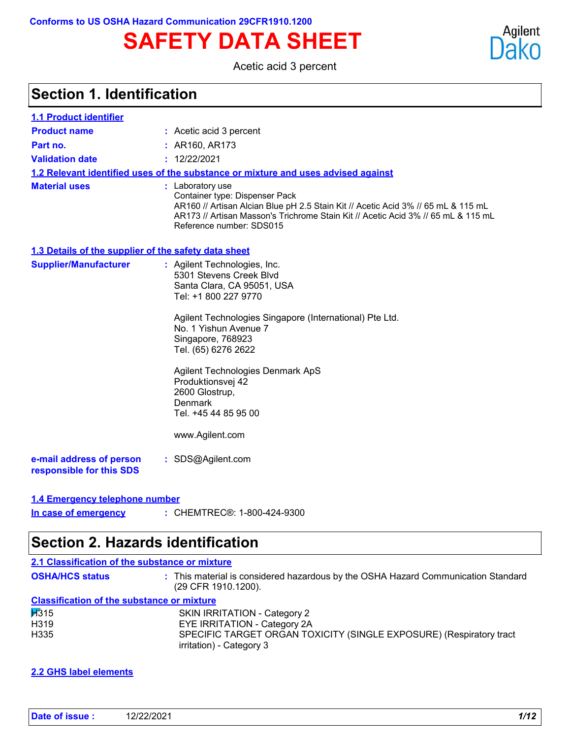# **SAFETY DATA SHEET**

Acetic acid 3 percent

Agilent<br>Dako

| <b>Section 1. Identification</b>                     |                                                                                                                                                                                                                                                                                                                                                                                |
|------------------------------------------------------|--------------------------------------------------------------------------------------------------------------------------------------------------------------------------------------------------------------------------------------------------------------------------------------------------------------------------------------------------------------------------------|
| 1.1 Product identifier                               |                                                                                                                                                                                                                                                                                                                                                                                |
| <b>Product name</b>                                  | : Acetic acid 3 percent                                                                                                                                                                                                                                                                                                                                                        |
| Part no.                                             | : AR160, AR173                                                                                                                                                                                                                                                                                                                                                                 |
| <b>Validation date</b>                               | : 12/22/2021                                                                                                                                                                                                                                                                                                                                                                   |
|                                                      | <u>1.2 Relevant identified uses of the substance or mixture and uses advised against</u>                                                                                                                                                                                                                                                                                       |
| <b>Material uses</b>                                 | : Laboratory use<br>Container type: Dispenser Pack<br>AR160 // Artisan Alcian Blue pH 2.5 Stain Kit // Acetic Acid 3% // 65 mL & 115 mL<br>AR173 // Artisan Masson's Trichrome Stain Kit // Acetic Acid 3% // 65 mL & 115 mL<br>Reference number: SDS015                                                                                                                       |
| 1.3 Details of the supplier of the safety data sheet |                                                                                                                                                                                                                                                                                                                                                                                |
| <b>Supplier/Manufacturer</b>                         | : Agilent Technologies, Inc.<br>5301 Stevens Creek Blvd<br>Santa Clara, CA 95051, USA<br>Tel: +1 800 227 9770<br>Agilent Technologies Singapore (International) Pte Ltd.<br>No. 1 Yishun Avenue 7<br>Singapore, 768923<br>Tel. (65) 6276 2622<br>Agilent Technologies Denmark ApS<br>Produktionsvej 42<br>2600 Glostrup,<br>Denmark<br>Tel. +45 44 85 95 00<br>www.Agilent.com |
| e-mail address of person<br>responsible for this SDS | : SDS@Agilent.com                                                                                                                                                                                                                                                                                                                                                              |
| 1.4 Emergency telephone number                       |                                                                                                                                                                                                                                                                                                                                                                                |

### **In case of emergency**

CHEMTREC®: 1-800-424-9300 **:**

## **Section 2. Hazards identification**

| 2.1 Classification of the substance or mixture    |                                                                                                          |
|---------------------------------------------------|----------------------------------------------------------------------------------------------------------|
| <b>OSHA/HCS status</b>                            | : This material is considered hazardous by the OSHA Hazard Communication Standard<br>(29 CFR 1910.1200). |
| <b>Classification of the substance or mixture</b> |                                                                                                          |
| $\cancel{H}315$                                   | SKIN IRRITATION - Category 2                                                                             |
| H319                                              | EYE IRRITATION - Category 2A                                                                             |
| H335                                              | SPECIFIC TARGET ORGAN TOXICITY (SINGLE EXPOSURE) (Respiratory tract<br>irritation) - Category 3          |

#### **2.2 GHS label elements**

| Date of issue: | 0.0000004<br>1212212021 | 1147<br> |
|----------------|-------------------------|----------|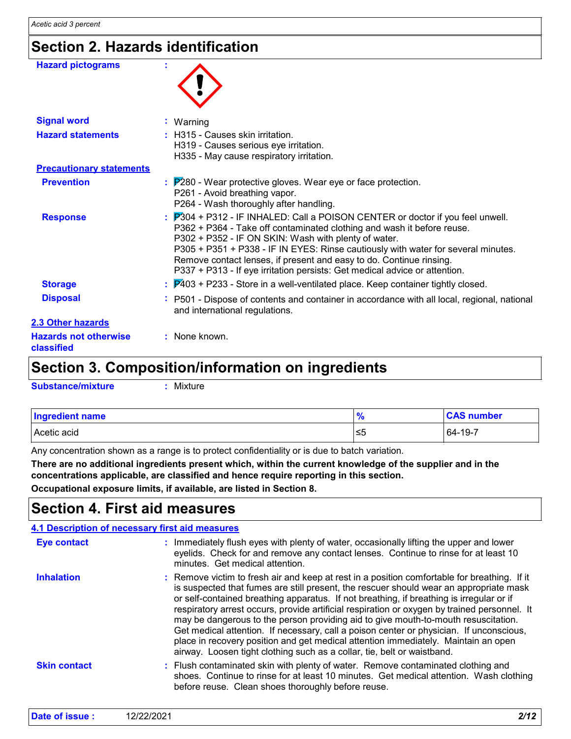### **Section 2. Hazards identification**

| <b>Hazard pictograms</b>                   |                                                                                                                                                                                                                                                                                                                                                                                                                                                                         |
|--------------------------------------------|-------------------------------------------------------------------------------------------------------------------------------------------------------------------------------------------------------------------------------------------------------------------------------------------------------------------------------------------------------------------------------------------------------------------------------------------------------------------------|
| <b>Signal word</b>                         | $:$ Warning                                                                                                                                                                                                                                                                                                                                                                                                                                                             |
| <b>Hazard statements</b>                   | : H315 - Causes skin irritation.<br>H319 - Causes serious eye irritation.<br>H335 - May cause respiratory irritation.                                                                                                                                                                                                                                                                                                                                                   |
| <b>Precautionary statements</b>            |                                                                                                                                                                                                                                                                                                                                                                                                                                                                         |
| <b>Prevention</b>                          | : P280 - Wear protective gloves. Wear eye or face protection.<br>P261 - Avoid breathing vapor.<br>P264 - Wash thoroughly after handling.                                                                                                                                                                                                                                                                                                                                |
| <b>Response</b>                            | : $\overline{P}304$ + P312 - IF INHALED: Call a POISON CENTER or doctor if you feel unwell.<br>P362 + P364 - Take off contaminated clothing and wash it before reuse.<br>P302 + P352 - IF ON SKIN: Wash with plenty of water.<br>P305 + P351 + P338 - IF IN EYES: Rinse cautiously with water for several minutes.<br>Remove contact lenses, if present and easy to do. Continue rinsing.<br>P337 + P313 - If eye irritation persists: Get medical advice or attention. |
| <b>Storage</b>                             | $\frac{1}{2}$ $\overline{P}403$ + P233 - Store in a well-ventilated place. Keep container tightly closed.                                                                                                                                                                                                                                                                                                                                                               |
| <b>Disposal</b>                            | : P501 - Dispose of contents and container in accordance with all local, regional, national<br>and international regulations.                                                                                                                                                                                                                                                                                                                                           |
| 2.3 Other hazards                          |                                                                                                                                                                                                                                                                                                                                                                                                                                                                         |
| <b>Hazards not otherwise</b><br>classified | : None known.                                                                                                                                                                                                                                                                                                                                                                                                                                                           |

## **Section 3. Composition/information on ingredients**

**Substance/mixture :**

: Mixture

| Ingredient name | $\mathbf{a}$<br>70 | <b>CAS number</b> |
|-----------------|--------------------|-------------------|
| Acetic acid     | ≤5                 | 64-19-7           |

Any concentration shown as a range is to protect confidentiality or is due to batch variation.

**There are no additional ingredients present which, within the current knowledge of the supplier and in the concentrations applicable, are classified and hence require reporting in this section.**

**Occupational exposure limits, if available, are listed in Section 8.**

### **Section 4. First aid measures**

| 4.1 Description of necessary first aid measures |                                                                                                                                                                                                                                                                                                                                                                                                                                                                                                                                                                                                                                                                                                                                      |
|-------------------------------------------------|--------------------------------------------------------------------------------------------------------------------------------------------------------------------------------------------------------------------------------------------------------------------------------------------------------------------------------------------------------------------------------------------------------------------------------------------------------------------------------------------------------------------------------------------------------------------------------------------------------------------------------------------------------------------------------------------------------------------------------------|
| <b>Eye contact</b>                              | : Immediately flush eyes with plenty of water, occasionally lifting the upper and lower<br>eyelids. Check for and remove any contact lenses. Continue to rinse for at least 10<br>minutes. Get medical attention.                                                                                                                                                                                                                                                                                                                                                                                                                                                                                                                    |
| <b>Inhalation</b>                               | : Remove victim to fresh air and keep at rest in a position comfortable for breathing. If it<br>is suspected that fumes are still present, the rescuer should wear an appropriate mask<br>or self-contained breathing apparatus. If not breathing, if breathing is irregular or if<br>respiratory arrest occurs, provide artificial respiration or oxygen by trained personnel. It<br>may be dangerous to the person providing aid to give mouth-to-mouth resuscitation.<br>Get medical attention. If necessary, call a poison center or physician. If unconscious,<br>place in recovery position and get medical attention immediately. Maintain an open<br>airway. Loosen tight clothing such as a collar, tie, belt or waistband. |
| <b>Skin contact</b>                             | : Flush contaminated skin with plenty of water. Remove contaminated clothing and<br>shoes. Continue to rinse for at least 10 minutes. Get medical attention. Wash clothing<br>before reuse. Clean shoes thoroughly before reuse.                                                                                                                                                                                                                                                                                                                                                                                                                                                                                                     |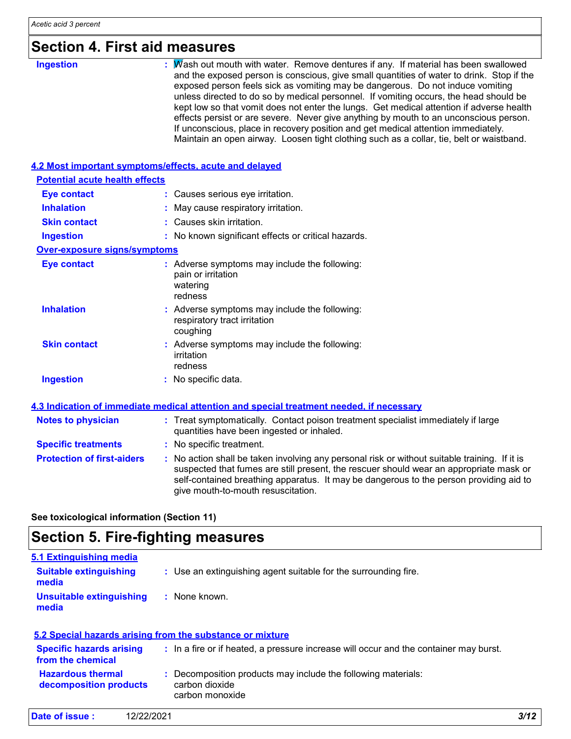## **Section 4. First aid measures**

| <b>Ingestion</b>                                       | : Mash out mouth with water. Remove dentures if any. If material has been swallowed<br>and the exposed person is conscious, give small quantities of water to drink. Stop if the<br>exposed person feels sick as vomiting may be dangerous. Do not induce vomiting<br>unless directed to do so by medical personnel. If vomiting occurs, the head should be<br>kept low so that vomit does not enter the lungs. Get medical attention if adverse health<br>effects persist or are severe. Never give anything by mouth to an unconscious person.<br>If unconscious, place in recovery position and get medical attention immediately.<br>Maintain an open airway. Loosen tight clothing such as a collar, tie, belt or waistband. |
|--------------------------------------------------------|-----------------------------------------------------------------------------------------------------------------------------------------------------------------------------------------------------------------------------------------------------------------------------------------------------------------------------------------------------------------------------------------------------------------------------------------------------------------------------------------------------------------------------------------------------------------------------------------------------------------------------------------------------------------------------------------------------------------------------------|
| 4.2 Most important symptoms/effects, acute and delayed |                                                                                                                                                                                                                                                                                                                                                                                                                                                                                                                                                                                                                                                                                                                                   |
| <b>Potential acute health effects</b>                  |                                                                                                                                                                                                                                                                                                                                                                                                                                                                                                                                                                                                                                                                                                                                   |
| <b>Eye contact</b>                                     | : Causes serious eye irritation.                                                                                                                                                                                                                                                                                                                                                                                                                                                                                                                                                                                                                                                                                                  |
| <b>Inhalation</b>                                      | : May cause respiratory irritation.                                                                                                                                                                                                                                                                                                                                                                                                                                                                                                                                                                                                                                                                                               |
| <b>Skin contact</b>                                    | : Causes skin irritation.                                                                                                                                                                                                                                                                                                                                                                                                                                                                                                                                                                                                                                                                                                         |
| <b>Ingestion</b>                                       | : No known significant effects or critical hazards.                                                                                                                                                                                                                                                                                                                                                                                                                                                                                                                                                                                                                                                                               |
| Over-exposure signs/symptoms                           |                                                                                                                                                                                                                                                                                                                                                                                                                                                                                                                                                                                                                                                                                                                                   |
| <b>Eye contact</b>                                     | : Adverse symptoms may include the following:<br>pain or irritation<br>watering<br>redness                                                                                                                                                                                                                                                                                                                                                                                                                                                                                                                                                                                                                                        |
| <b>Inhalation</b>                                      | : Adverse symptoms may include the following:<br>respiratory tract irritation<br>coughing                                                                                                                                                                                                                                                                                                                                                                                                                                                                                                                                                                                                                                         |
| <b>Skin contact</b>                                    | : Adverse symptoms may include the following:<br>irritation<br>redness                                                                                                                                                                                                                                                                                                                                                                                                                                                                                                                                                                                                                                                            |
| <b>Ingestion</b>                                       | : No specific data.                                                                                                                                                                                                                                                                                                                                                                                                                                                                                                                                                                                                                                                                                                               |
|                                                        | 4.3 Indication of immediate medical attention and special treatment needed, if necessary                                                                                                                                                                                                                                                                                                                                                                                                                                                                                                                                                                                                                                          |
| <b>Notes to physician</b>                              | : Treat symptomatically. Contact poison treatment specialist immediately if large<br>quantities have been ingested or inhaled.                                                                                                                                                                                                                                                                                                                                                                                                                                                                                                                                                                                                    |
| <b>Specific treatments</b>                             | : No specific treatment.                                                                                                                                                                                                                                                                                                                                                                                                                                                                                                                                                                                                                                                                                                          |
| <b>Protection of first-aiders</b>                      | : No action shall be taken involving any personal risk or without suitable training. If it is<br>suspected that fumes are still present, the rescuer should wear an appropriate mask or<br>self-contained breathing apparatus. It may be dangerous to the person providing aid to<br>give mouth-to-mouth resuscitation.                                                                                                                                                                                                                                                                                                                                                                                                           |

### **Section 5. Fire-fighting measures**

| 5.1 Extinguishing media                              |                                                                                                    |      |
|------------------------------------------------------|----------------------------------------------------------------------------------------------------|------|
| <b>Suitable extinguishing</b><br>media               | : Use an extinguishing agent suitable for the surrounding fire.                                    |      |
| <b>Unsuitable extinguishing</b><br>media             | : None known.                                                                                      |      |
|                                                      | 5.2 Special hazards arising from the substance or mixture                                          |      |
| <b>Specific hazards arising</b><br>from the chemical | : In a fire or if heated, a pressure increase will occur and the container may burst.              |      |
| <b>Hazardous thermal</b><br>decomposition products   | : Decomposition products may include the following materials:<br>carbon dioxide<br>carbon monoxide |      |
| Date of issue:<br>12/22/2021                         |                                                                                                    | 3/12 |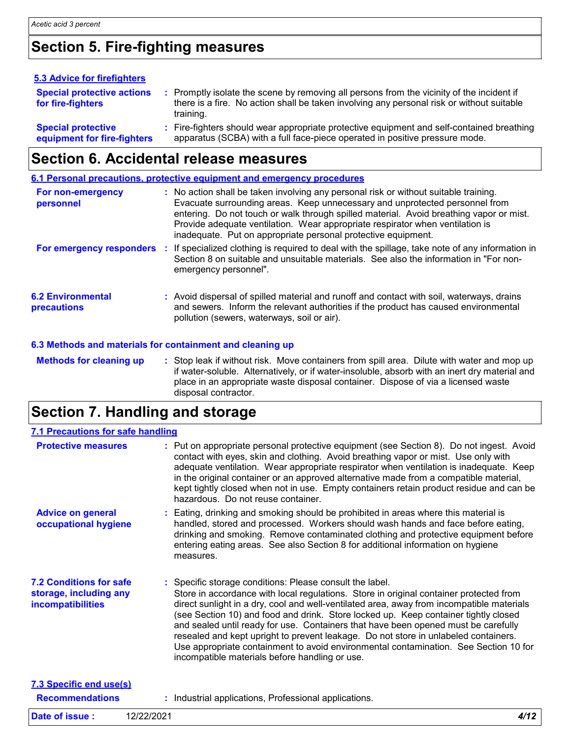## **Section 5. Fire-fighting measures**

| 5.3 Advice for firefighters                              |                                                                                                                                                                                                     |
|----------------------------------------------------------|-----------------------------------------------------------------------------------------------------------------------------------------------------------------------------------------------------|
| <b>Special protective actions</b><br>for fire-fighters   | : Promptly isolate the scene by removing all persons from the vicinity of the incident if<br>there is a fire. No action shall be taken involving any personal risk or without suitable<br>training. |
| <b>Special protective</b><br>equipment for fire-fighters | : Fire-fighters should wear appropriate protective equipment and self-contained breathing<br>apparatus (SCBA) with a full face-piece operated in positive pressure mode.                            |

## **Section 6. Accidental release measures**

|                                         | 6.1 Personal precautions, protective equipment and emergency procedures                                                                                                                                                                                                                                                                                                                                          |
|-----------------------------------------|------------------------------------------------------------------------------------------------------------------------------------------------------------------------------------------------------------------------------------------------------------------------------------------------------------------------------------------------------------------------------------------------------------------|
| For non-emergency<br>personnel          | : No action shall be taken involving any personal risk or without suitable training.<br>Evacuate surrounding areas. Keep unnecessary and unprotected personnel from<br>entering. Do not touch or walk through spilled material. Avoid breathing vapor or mist.<br>Provide adequate ventilation. Wear appropriate respirator when ventilation is<br>inadequate. Put on appropriate personal protective equipment. |
| For emergency responders                | If specialized clothing is required to deal with the spillage, take note of any information in<br>Section 8 on suitable and unsuitable materials. See also the information in "For non-<br>emergency personnel".                                                                                                                                                                                                 |
| <b>6.2 Environmental</b><br>precautions | : Avoid dispersal of spilled material and runoff and contact with soil, waterways, drains<br>and sewers. Inform the relevant authorities if the product has caused environmental<br>pollution (sewers, waterways, soil or air).                                                                                                                                                                                  |

### **6.3 Methods and materials for containment and cleaning up**

| <b>Methods for cleaning up</b> | : Stop leak if without risk. Move containers from spill area. Dilute with water and mop up    |
|--------------------------------|-----------------------------------------------------------------------------------------------|
|                                | if water-soluble. Alternatively, or if water-insoluble, absorb with an inert dry material and |
|                                | place in an appropriate waste disposal container. Dispose of via a licensed waste             |
|                                | disposal contractor.                                                                          |

## **Section 7. Handling and storage**

| 7.1 Precautions for safe handling                                             |                                                                                                                                                                                                                                                                                                                                                                                                                                                                                                                                                                                                                                                             |
|-------------------------------------------------------------------------------|-------------------------------------------------------------------------------------------------------------------------------------------------------------------------------------------------------------------------------------------------------------------------------------------------------------------------------------------------------------------------------------------------------------------------------------------------------------------------------------------------------------------------------------------------------------------------------------------------------------------------------------------------------------|
| <b>Protective measures</b>                                                    | : Put on appropriate personal protective equipment (see Section 8). Do not ingest. Avoid<br>contact with eyes, skin and clothing. Avoid breathing vapor or mist. Use only with<br>adequate ventilation. Wear appropriate respirator when ventilation is inadequate. Keep<br>in the original container or an approved alternative made from a compatible material,<br>kept tightly closed when not in use. Empty containers retain product residue and can be<br>hazardous. Do not reuse container.                                                                                                                                                          |
| <b>Advice on general</b><br>occupational hygiene                              | Eating, drinking and smoking should be prohibited in areas where this material is<br>handled, stored and processed. Workers should wash hands and face before eating,<br>drinking and smoking. Remove contaminated clothing and protective equipment before<br>entering eating areas. See also Section 8 for additional information on hygiene<br>measures.                                                                                                                                                                                                                                                                                                 |
| <b>7.2 Conditions for safe</b><br>storage, including any<br>incompatibilities | Specific storage conditions: Please consult the label.<br>Store in accordance with local regulations. Store in original container protected from<br>direct sunlight in a dry, cool and well-ventilated area, away from incompatible materials<br>(see Section 10) and food and drink. Store locked up. Keep container tightly closed<br>and sealed until ready for use. Containers that have been opened must be carefully<br>resealed and kept upright to prevent leakage. Do not store in unlabeled containers.<br>Use appropriate containment to avoid environmental contamination. See Section 10 for<br>incompatible materials before handling or use. |
| <b>7.3 Specific end use(s)</b><br><b>Recommendations</b>                      | Industrial applications, Professional applications.                                                                                                                                                                                                                                                                                                                                                                                                                                                                                                                                                                                                         |
| Date of issue:                                                                | 4/12<br>12/22/2021                                                                                                                                                                                                                                                                                                                                                                                                                                                                                                                                                                                                                                          |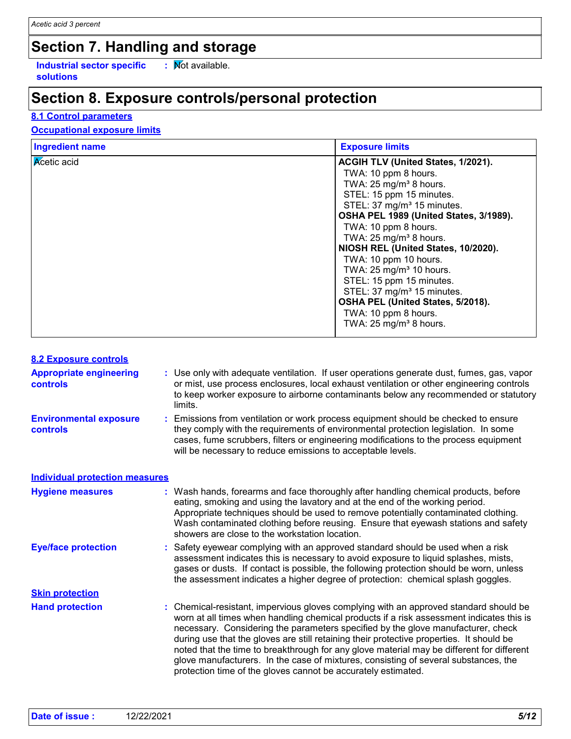## **Section 7. Handling and storage**

**Industrial sector specific : solutions** : Mot available.

## **Section 8. Exposure controls/personal protection**

### **8.1 Control parameters**

### **Occupational exposure limits**

| <b>Ingredient name</b> | <b>Exposure limits</b>                                                                                                                                                                                                                                                                                                                                                                                                                                                                                                                                     |
|------------------------|------------------------------------------------------------------------------------------------------------------------------------------------------------------------------------------------------------------------------------------------------------------------------------------------------------------------------------------------------------------------------------------------------------------------------------------------------------------------------------------------------------------------------------------------------------|
| <b>Acetic acid</b>     | ACGIH TLV (United States, 1/2021).<br>TWA: 10 ppm 8 hours.<br>TWA: $25 \text{ mg/m}^3$ 8 hours.<br>STEL: 15 ppm 15 minutes.<br>STEL: 37 mg/m <sup>3</sup> 15 minutes.<br>OSHA PEL 1989 (United States, 3/1989).<br>TWA: 10 ppm 8 hours.<br>TWA: $25 \text{ mg/m}^3$ 8 hours.<br>NIOSH REL (United States, 10/2020).<br>TWA: 10 ppm 10 hours.<br>TWA: $25 \text{ mg/m}^3$ 10 hours.<br>STEL: 15 ppm 15 minutes.<br>STEL: 37 mg/m <sup>3</sup> 15 minutes.<br>OSHA PEL (United States, 5/2018).<br>TWA: 10 ppm 8 hours.<br>TWA: $25 \text{ mg/m}^3$ 8 hours. |

| <b>8.2 Exposure controls</b>               |                                                                                                                                                                                                                                                                                                                                                                                                                                                                                                                                                                                                                      |
|--------------------------------------------|----------------------------------------------------------------------------------------------------------------------------------------------------------------------------------------------------------------------------------------------------------------------------------------------------------------------------------------------------------------------------------------------------------------------------------------------------------------------------------------------------------------------------------------------------------------------------------------------------------------------|
| <b>Appropriate engineering</b><br>controls | : Use only with adequate ventilation. If user operations generate dust, fumes, gas, vapor<br>or mist, use process enclosures, local exhaust ventilation or other engineering controls<br>to keep worker exposure to airborne contaminants below any recommended or statutory<br>limits.                                                                                                                                                                                                                                                                                                                              |
| <b>Environmental exposure</b><br>controls  | Emissions from ventilation or work process equipment should be checked to ensure<br>they comply with the requirements of environmental protection legislation. In some<br>cases, fume scrubbers, filters or engineering modifications to the process equipment<br>will be necessary to reduce emissions to acceptable levels.                                                                                                                                                                                                                                                                                        |
| <b>Individual protection measures</b>      |                                                                                                                                                                                                                                                                                                                                                                                                                                                                                                                                                                                                                      |
| <b>Hygiene measures</b>                    | Wash hands, forearms and face thoroughly after handling chemical products, before<br>eating, smoking and using the lavatory and at the end of the working period.<br>Appropriate techniques should be used to remove potentially contaminated clothing.<br>Wash contaminated clothing before reusing. Ensure that eyewash stations and safety<br>showers are close to the workstation location.                                                                                                                                                                                                                      |
| <b>Eye/face protection</b>                 | : Safety eyewear complying with an approved standard should be used when a risk<br>assessment indicates this is necessary to avoid exposure to liquid splashes, mists,<br>gases or dusts. If contact is possible, the following protection should be worn, unless<br>the assessment indicates a higher degree of protection: chemical splash goggles.                                                                                                                                                                                                                                                                |
| <b>Skin protection</b>                     |                                                                                                                                                                                                                                                                                                                                                                                                                                                                                                                                                                                                                      |
| <b>Hand protection</b>                     | Chemical-resistant, impervious gloves complying with an approved standard should be<br>worn at all times when handling chemical products if a risk assessment indicates this is<br>necessary. Considering the parameters specified by the glove manufacturer, check<br>during use that the gloves are still retaining their protective properties. It should be<br>noted that the time to breakthrough for any glove material may be different for different<br>glove manufacturers. In the case of mixtures, consisting of several substances, the<br>protection time of the gloves cannot be accurately estimated. |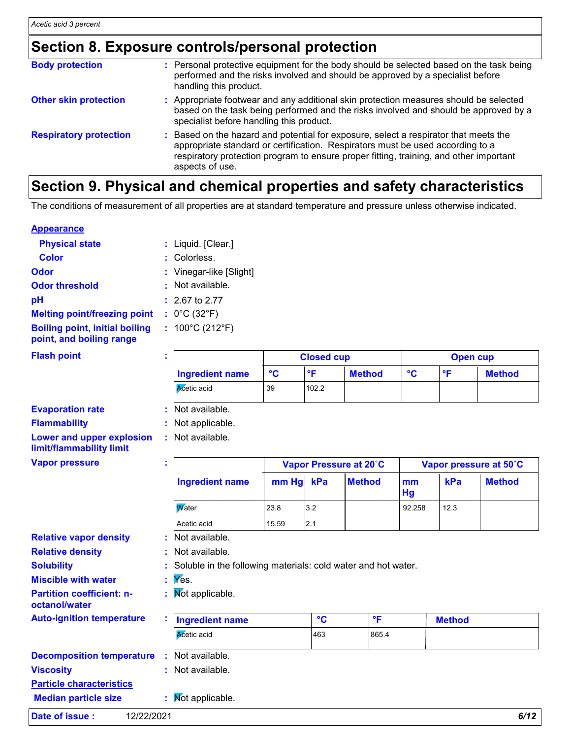### **Section 8. Exposure controls/personal protection**

| <b>Body protection</b>        | : Personal protective equipment for the body should be selected based on the task being<br>performed and the risks involved and should be approved by a specialist before<br>handling this product.                                                                                 |
|-------------------------------|-------------------------------------------------------------------------------------------------------------------------------------------------------------------------------------------------------------------------------------------------------------------------------------|
| <b>Other skin protection</b>  | : Appropriate footwear and any additional skin protection measures should be selected<br>based on the task being performed and the risks involved and should be approved by a<br>specialist before handling this product.                                                           |
| <b>Respiratory protection</b> | : Based on the hazard and potential for exposure, select a respirator that meets the<br>appropriate standard or certification. Respirators must be used according to a<br>respiratory protection program to ensure proper fitting, training, and other important<br>aspects of use. |

### **Section 9. Physical and chemical properties and safety characteristics**

The conditions of measurement of all properties are at standard temperature and pressure unless otherwise indicated.

#### **Appearance**

| <b>Physical state</b>                                             | : Liquid. [Clear.]                   |
|-------------------------------------------------------------------|--------------------------------------|
| <b>Color</b>                                                      | Colorless.                           |
| Odor                                                              | : Vinegar-like [Slight]              |
| <b>Odor threshold</b>                                             | : Not available.                     |
| рH                                                                | $: 2.67$ to 2.77                     |
| <b>Melting point/freezing point</b>                               | : $0^{\circ}$ C (32 $^{\circ}$ F)    |
| <b>Boiling point, initial boiling</b><br>point, and boiling range | : $100^{\circ}$ C (212 $^{\circ}$ F) |
| <b>Flash point</b>                                                |                                      |
|                                                                   |                                      |

|                 | <b>Closed cup</b> |            |               | Open cup |                      |               |
|-----------------|-------------------|------------|---------------|----------|----------------------|---------------|
| Ingredient name | °C                | $^{\circ}$ | <b>Method</b> | $\sim$   | $\circ$ $\mathsf{E}$ | <b>Method</b> |
| Acetic acid     | 39                | 102.2      |               |          |                      |               |

**Vapor Pressure at 20˚C Vapor pressure at 50˚C**

#### **Evaporation rate**

**Flammability :** Not applicable.

**:**

**:**

**Lower and upper explosion :** Not available.

### **limit/flammability limit**

**Vapor pressure**

|                                                   |  | <b>Ingredient name</b>                  | $mm$ Hg                                                         | kPa       | <b>Method</b> | mm<br><b>Hg</b> | kPa           | <b>Method</b> |
|---------------------------------------------------|--|-----------------------------------------|-----------------------------------------------------------------|-----------|---------------|-----------------|---------------|---------------|
|                                                   |  | <b>W</b> ater                           | 23.8                                                            | 3.2       |               | 92.258          | 12.3          |               |
|                                                   |  | Acetic acid                             | 15.59                                                           | 2.1       |               |                 |               |               |
| <b>Relative vapor density</b>                     |  | $:$ Not available.                      |                                                                 |           |               |                 |               |               |
| <b>Relative density</b>                           |  | $:$ Not available.                      |                                                                 |           |               |                 |               |               |
| <b>Solubility</b>                                 |  |                                         | : Soluble in the following materials: cold water and hot water. |           |               |                 |               |               |
| <b>Miscible with water</b>                        |  | $\mathbf{y} \in \mathbf{y}_{\text{es}}$ |                                                                 |           |               |                 |               |               |
| <b>Partition coefficient: n-</b><br>octanol/water |  | : Mot applicable.                       |                                                                 |           |               |                 |               |               |
| <b>Auto-ignition temperature</b>                  |  | <b>Ingredient name</b>                  |                                                                 | $\circ$ C | $\mathsf{P}$  |                 | <b>Method</b> |               |
|                                                   |  | Acetic acid                             |                                                                 | 463       | 865.4         |                 |               |               |
| <b>Decomposition temperature</b>                  |  | : Not available.                        |                                                                 |           |               |                 |               |               |
| <b>Viscosity</b>                                  |  | $:$ Not available.                      |                                                                 |           |               |                 |               |               |
| <b>Particle characteristics</b>                   |  |                                         |                                                                 |           |               |                 |               |               |
| <b>Median particle size</b>                       |  | : Mot applicable.                       |                                                                 |           |               |                 |               |               |
| 12/22/2021<br>Date of issue:                      |  |                                         |                                                                 |           |               |                 |               | 6/12          |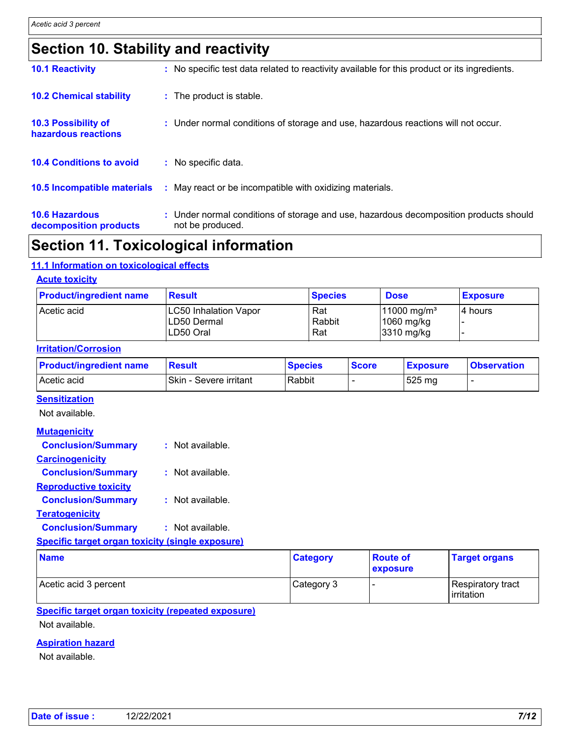### **Section 10. Stability and reactivity**

| <b>10.1 Reactivity</b>                            | : No specific test data related to reactivity available for this product or its ingredients.              |
|---------------------------------------------------|-----------------------------------------------------------------------------------------------------------|
| <b>10.2 Chemical stability</b>                    | : The product is stable.                                                                                  |
| <b>10.3 Possibility of</b><br>hazardous reactions | : Under normal conditions of storage and use, hazardous reactions will not occur.                         |
| <b>10.4 Conditions to avoid</b>                   | : No specific data.                                                                                       |
| <b>10.5 Incompatible materials</b>                | : May react or be incompatible with oxidizing materials.                                                  |
| <b>10.6 Hazardous</b><br>decomposition products   | : Under normal conditions of storage and use, hazardous decomposition products should<br>not be produced. |

### **Section 11. Toxicological information**

### **11.1 Information on toxicological effects**

#### **Acute toxicity**

| <b>Product/ingredient name</b> | <b>Result</b>                                            | <b>Species</b>       | <b>Dose</b>                                           | <b>Exposure</b> |
|--------------------------------|----------------------------------------------------------|----------------------|-------------------------------------------------------|-----------------|
| Acetic acid                    | <b>LC50 Inhalation Vapor</b><br>LD50 Dermal<br>LD50 Oral | Rat<br>Rabbit<br>Rat | 11000 mg/m <sup>3</sup><br>1060 mg/kg<br>$3310$ mg/kg | l4 hours        |

### **Irritation/Corrosion**

| <b>Product/ingredient name</b> | Result                  | <b>Species</b> | <b>Score</b> | <b>Exposure</b> | <b>Observation</b> |
|--------------------------------|-------------------------|----------------|--------------|-----------------|--------------------|
| Acetic acid                    | 'Skin - Severe irritant | Rabbit         |              | 525 mg          |                    |

### **Sensitization**

Not available.

| <b>Mutagenicity</b>                                     |                    |  |
|---------------------------------------------------------|--------------------|--|
| <b>Conclusion/Summary</b>                               | $:$ Not available. |  |
| <b>Carcinogenicity</b>                                  |                    |  |
| <b>Conclusion/Summary</b>                               | $:$ Not available. |  |
| <b>Reproductive toxicity</b>                            |                    |  |
| <b>Conclusion/Summary</b>                               | : Not available.   |  |
| <b>Teratogenicity</b>                                   |                    |  |
| <b>Conclusion/Summary</b>                               | $:$ Not available. |  |
| <b>Specific target organ toxicity (single exposure)</b> |                    |  |
|                                                         |                    |  |

| <b>Name</b>           | <b>Category</b> | <b>Route of</b><br>exposure | <b>Target organs</b>                       |  |
|-----------------------|-----------------|-----------------------------|--------------------------------------------|--|
| Acetic acid 3 percent | Category 3      |                             | l Respiratory tract<br><b>l</b> irritation |  |

**Specific target organ toxicity (repeated exposure)** Not available.

#### **Aspiration hazard**

Not available.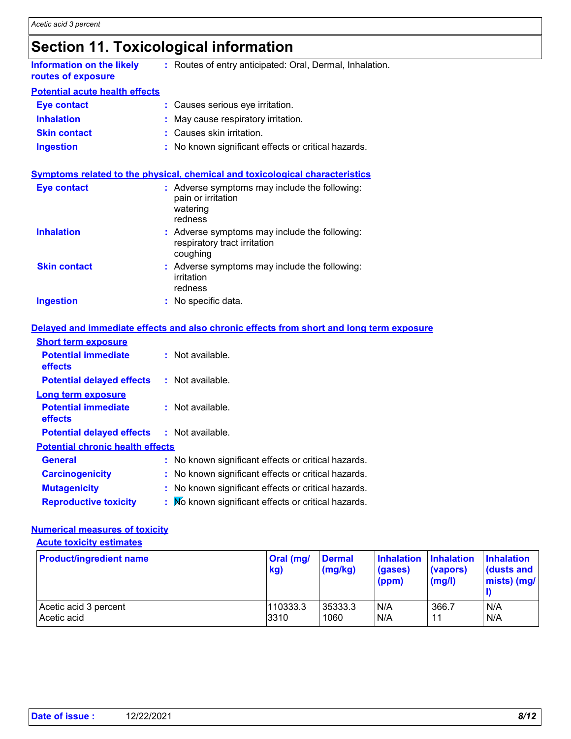## **Section 11. Toxicological information**

| Information on the likely<br>routes of exposure | : Routes of entry anticipated: Oral, Dermal, Inhalation.                                   |
|-------------------------------------------------|--------------------------------------------------------------------------------------------|
| <b>Potential acute health effects</b>           |                                                                                            |
| Eye contact                                     | : Causes serious eye irritation.                                                           |
| <b>Inhalation</b>                               | : May cause respiratory irritation.                                                        |
| <b>Skin contact</b>                             | : Causes skin irritation.                                                                  |
| <b>Ingestion</b>                                | : No known significant effects or critical hazards.                                        |
|                                                 | <b>Symptoms related to the physical, chemical and toxicological characteristics</b>        |
| Eye contact                                     | : Adverse symptoms may include the following:<br>pain or irritation<br>watering<br>redness |
| <b>Inhalation</b>                               | : Adverse symptoms may include the following:<br>respiratory tract irritation<br>coughing  |
| <b>Skin contact</b>                             | : Adverse symptoms may include the following:<br>irritation<br>redness                     |
| <b>Ingestion</b>                                | : No specific data.                                                                        |

### **Delayed and immediate effects and also chronic effects from short and long term exposure**

| <b>Short term exposure</b>              |                                                         |
|-----------------------------------------|---------------------------------------------------------|
| <b>Potential immediate</b><br>effects   | $:$ Not available.                                      |
| <b>Potential delayed effects</b>        | : Not available.                                        |
| Long term exposure                      |                                                         |
| <b>Potential immediate</b><br>effects   | $:$ Not available.                                      |
| <b>Potential delayed effects</b>        | $:$ Not available.                                      |
| <b>Potential chronic health effects</b> |                                                         |
| <b>General</b>                          | : No known significant effects or critical hazards.     |
| <b>Carcinogenicity</b>                  | : No known significant effects or critical hazards.     |
| <b>Mutagenicity</b>                     | : No known significant effects or critical hazards.     |
| <b>Reproductive toxicity</b>            | No known significant effects or critical hazards.<br>t. |
|                                         |                                                         |

### **Numerical measures of toxicity**

### **Acute toxicity estimates**

| <b>Product/ingredient name</b> | Oral (mg/<br>kg) | <b>Dermal</b><br>(mg/kg) | <b>Inhalation</b><br>(gases)<br>(ppm) | <b>Inhalation</b><br>(vapors)<br>(mg/l) | <b>Inhalation</b><br>dusts and<br>$mists)$ (mg/ |
|--------------------------------|------------------|--------------------------|---------------------------------------|-----------------------------------------|-------------------------------------------------|
| Acetic acid 3 percent          | 110333.3         | 35333.3                  | N/A                                   | 366.7                                   | N/A                                             |
| Acetic acid                    | 3310             | 1060                     | N/A                                   | 11                                      | N/A                                             |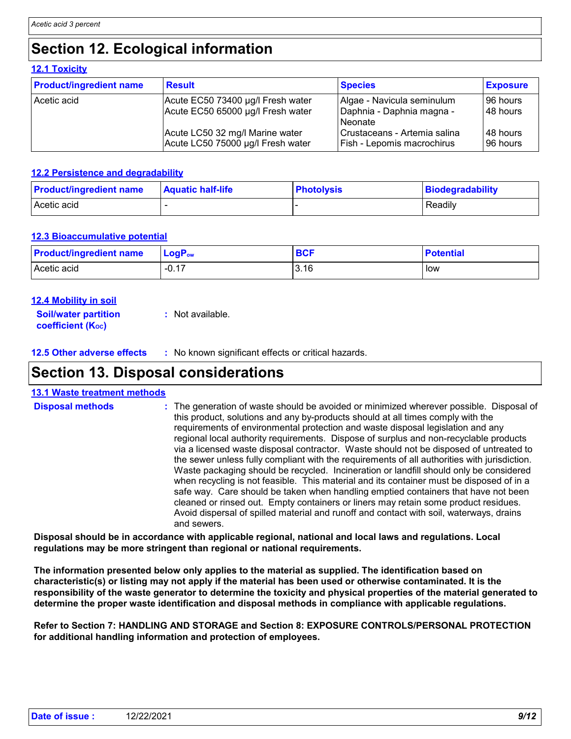## **Section 12. Ecological information**

### **12.1 Toxicity**

| <b>Product/ingredient name</b> | <b>Result</b>                                                        | <b>Species</b>                                             | <b>Exposure</b>         |
|--------------------------------|----------------------------------------------------------------------|------------------------------------------------------------|-------------------------|
| Acetic acid                    | Acute EC50 73400 µg/l Fresh water                                    | Algae - Navicula seminulum                                 | l 96 hours              |
|                                | Acute EC50 65000 µg/l Fresh water                                    | Daphnia - Daphnia magna -<br>l Neonate                     | l 48 hours              |
|                                | Acute LC50 32 mg/l Marine water<br>Acute LC50 75000 µg/l Fresh water | Crustaceans - Artemia salina<br>Fish - Lepomis macrochirus | 148 hours<br>l 96 hours |

### **12.2 Persistence and degradability**

| <b>Product/ingredient name</b> | <b>Aquatic half-life</b> | <b>Photolysis</b> | Biodegradability |
|--------------------------------|--------------------------|-------------------|------------------|
| Acetic acid                    |                          |                   | Readily          |

### **12.3 Bioaccumulative potential**

| <b>Product/ingredient name</b> | $LogPow$ | <b>BCF</b> | <b>Potential</b> |
|--------------------------------|----------|------------|------------------|
| Acetic acid                    | $-0.17$  | 3.16       | low              |

### **12.4 Mobility in soil**

| <b>Soil/water partition</b> | : Not available. |
|-----------------------------|------------------|
| coefficient $(K_{oc})$      |                  |

**12.5 Other adverse effects :** No known significant effects or critical hazards.

### **Section 13. Disposal considerations**

### **13.1 Waste treatment methods**

| <b>Disposal methods</b> | : The generation of waste should be avoided or minimized wherever possible. Disposal of<br>this product, solutions and any by-products should at all times comply with the<br>requirements of environmental protection and waste disposal legislation and any<br>regional local authority requirements. Dispose of surplus and non-recyclable products<br>via a licensed waste disposal contractor. Waste should not be disposed of untreated to<br>the sewer unless fully compliant with the requirements of all authorities with jurisdiction.<br>Waste packaging should be recycled. Incineration or landfill should only be considered<br>when recycling is not feasible. This material and its container must be disposed of in a<br>safe way. Care should be taken when handling emptied containers that have not been<br>cleaned or rinsed out. Empty containers or liners may retain some product residues.<br>Avoid dispersal of spilled material and runoff and contact with soil, waterways, drains<br>and sewers. |
|-------------------------|-------------------------------------------------------------------------------------------------------------------------------------------------------------------------------------------------------------------------------------------------------------------------------------------------------------------------------------------------------------------------------------------------------------------------------------------------------------------------------------------------------------------------------------------------------------------------------------------------------------------------------------------------------------------------------------------------------------------------------------------------------------------------------------------------------------------------------------------------------------------------------------------------------------------------------------------------------------------------------------------------------------------------------|
|-------------------------|-------------------------------------------------------------------------------------------------------------------------------------------------------------------------------------------------------------------------------------------------------------------------------------------------------------------------------------------------------------------------------------------------------------------------------------------------------------------------------------------------------------------------------------------------------------------------------------------------------------------------------------------------------------------------------------------------------------------------------------------------------------------------------------------------------------------------------------------------------------------------------------------------------------------------------------------------------------------------------------------------------------------------------|

**Disposal should be in accordance with applicable regional, national and local laws and regulations. Local regulations may be more stringent than regional or national requirements.**

**The information presented below only applies to the material as supplied. The identification based on characteristic(s) or listing may not apply if the material has been used or otherwise contaminated. It is the responsibility of the waste generator to determine the toxicity and physical properties of the material generated to determine the proper waste identification and disposal methods in compliance with applicable regulations.**

**Refer to Section 7: HANDLING AND STORAGE and Section 8: EXPOSURE CONTROLS/PERSONAL PROTECTION for additional handling information and protection of employees.**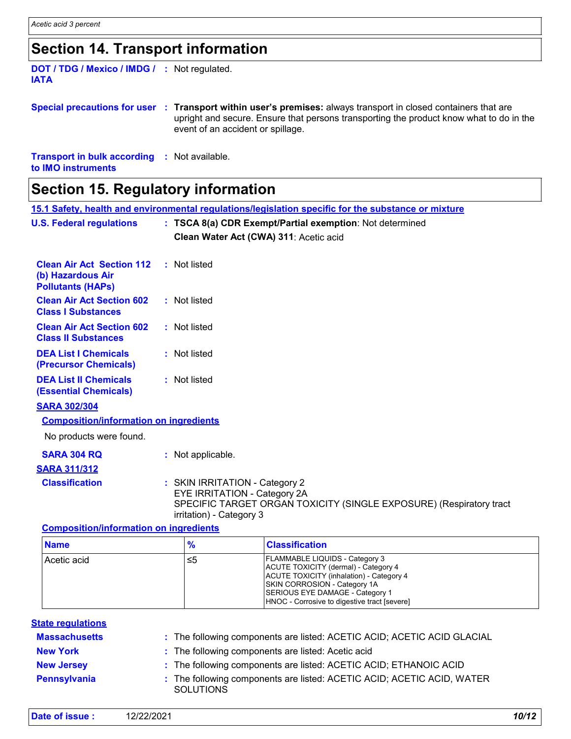## **Section 14. Transport information**

| <b>DOT / TDG / Mexico / IMDG / : Not regulated.</b> |  |
|-----------------------------------------------------|--|
| <b>IATA</b>                                         |  |
|                                                     |  |

**Special precautions for user Transport within user's premises:** always transport in closed containers that are **:** upright and secure. Ensure that persons transporting the product know what to do in the event of an accident or spillage.

**Transport in bulk according :** Not available. **to IMO instruments**

## **Section 15. Regulatory information**

| 15.1 Safety, health and environmental regulations/legislation specific for the substance or mixture |                                                                                                                                                                   |  |  |  |
|-----------------------------------------------------------------------------------------------------|-------------------------------------------------------------------------------------------------------------------------------------------------------------------|--|--|--|
| <b>U.S. Federal regulations</b><br>: TSCA 8(a) CDR Exempt/Partial exemption: Not determined         |                                                                                                                                                                   |  |  |  |
|                                                                                                     | Clean Water Act (CWA) 311: Acetic acid                                                                                                                            |  |  |  |
|                                                                                                     |                                                                                                                                                                   |  |  |  |
| <b>Clean Air Act Section 112</b><br>(b) Hazardous Air<br><b>Pollutants (HAPs)</b>                   | : Not listed                                                                                                                                                      |  |  |  |
| <b>Clean Air Act Section 602</b><br><b>Class I Substances</b>                                       | : Not listed                                                                                                                                                      |  |  |  |
| <b>Clean Air Act Section 602</b><br><b>Class II Substances</b>                                      | : Not listed                                                                                                                                                      |  |  |  |
| <b>DEA List I Chemicals</b><br>(Precursor Chemicals)                                                | : Not listed                                                                                                                                                      |  |  |  |
| <b>DEA List II Chemicals</b><br><b>(Essential Chemicals)</b>                                        | : Not listed                                                                                                                                                      |  |  |  |
| <b>SARA 302/304</b>                                                                                 |                                                                                                                                                                   |  |  |  |
| <b>Composition/information on ingredients</b>                                                       |                                                                                                                                                                   |  |  |  |
| No products were found.                                                                             |                                                                                                                                                                   |  |  |  |
| <b>SARA 304 RQ</b><br><b>SARA 311/312</b>                                                           | : Not applicable.                                                                                                                                                 |  |  |  |
| <b>Classification</b>                                                                               | : SKIN IRRITATION - Category 2<br>EYE IRRITATION - Category 2A<br>SPECIFIC TARGET ORGAN TOXICITY (SINGLE EXPOSURE) (Respiratory tract<br>irritation) - Category 3 |  |  |  |

#### **Composition/information on ingredients**

| <b>Name</b> | $\frac{1}{2}$ | <u> Classification</u>                                                                                                                                                                                                                              |
|-------------|---------------|-----------------------------------------------------------------------------------------------------------------------------------------------------------------------------------------------------------------------------------------------------|
| Acetic acid | ≤5            | <b>FLAMMABLE LIQUIDS - Category 3</b><br>ACUTE TOXICITY (dermal) - Category 4<br>ACUTE TOXICITY (inhalation) - Category 4<br><b>SKIN CORROSION - Category 1A</b><br>SERIOUS EYE DAMAGE - Category 1<br>HNOC - Corrosive to digestive tract [severe] |

| <b>State regulations</b> |                                                                                            |
|--------------------------|--------------------------------------------------------------------------------------------|
| <b>Massachusetts</b>     | : The following components are listed: ACETIC ACID; ACETIC ACID GLACIAL                    |
| <b>New York</b>          | : The following components are listed: Acetic acid                                         |
| <b>New Jersey</b>        | : The following components are listed: ACETIC ACID; ETHANOIC ACID                          |
| <b>Pennsylvania</b>      | : The following components are listed: ACETIC ACID; ACETIC ACID, WATER<br><b>SOLUTIONS</b> |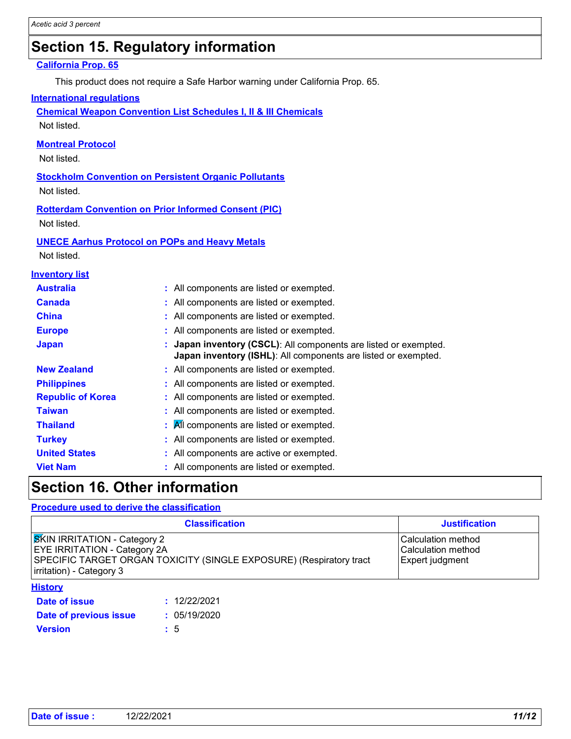### **Section 15. Regulatory information**

#### **California Prop. 65**

This product does not require a Safe Harbor warning under California Prop. 65.

### **International regulations**

**Chemical Weapon Convention List Schedules I, II & III Chemicals** Not listed.

#### **Montreal Protocol**

Not listed.

**Stockholm Convention on Persistent Organic Pollutants** Not listed.

**Rotterdam Convention on Prior Informed Consent (PIC)** Not listed.

#### **UNECE Aarhus Protocol on POPs and Heavy Metals**

Not listed.

#### **Inventory list**

| <b>Australia</b>         | : All components are listed or exempted.                                                                                           |  |
|--------------------------|------------------------------------------------------------------------------------------------------------------------------------|--|
| <b>Canada</b>            | : All components are listed or exempted.                                                                                           |  |
| <b>China</b>             | : All components are listed or exempted.                                                                                           |  |
| <b>Europe</b>            | : All components are listed or exempted.                                                                                           |  |
| <b>Japan</b>             | : Japan inventory (CSCL): All components are listed or exempted.<br>Japan inventory (ISHL): All components are listed or exempted. |  |
| <b>New Zealand</b>       | : All components are listed or exempted.                                                                                           |  |
| <b>Philippines</b>       | : All components are listed or exempted.                                                                                           |  |
| <b>Republic of Korea</b> | : All components are listed or exempted.                                                                                           |  |
| <b>Taiwan</b>            | : All components are listed or exempted.                                                                                           |  |
| <b>Thailand</b>          | $\mathbf{A}$ All components are listed or exempted.                                                                                |  |
| <b>Turkey</b>            | : All components are listed or exempted.                                                                                           |  |
| <b>United States</b>     | : All components are active or exempted.                                                                                           |  |
| <b>Viet Nam</b>          | : All components are listed or exempted.                                                                                           |  |

### **Section 16. Other information**

#### **Procedure used to derive the classification**

| <b>Classification</b>                                                                                                                                                         | <b>Justification</b>                                               |
|-------------------------------------------------------------------------------------------------------------------------------------------------------------------------------|--------------------------------------------------------------------|
| <b>SKIN IRRITATION - Category 2</b><br><b>EYE IRRITATION - Category 2A</b><br>SPECIFIC TARGET ORGAN TOXICITY (SINGLE EXPOSURE) (Respiratory tract<br>irritation) - Category 3 | <b>Calculation method</b><br>Calculation method<br>Expert judgment |

|--|

| Date of issue          | : 12/22/2021 |
|------------------------|--------------|
| Date of previous issue | : 05/19/2020 |
| <b>Version</b>         | : 5          |